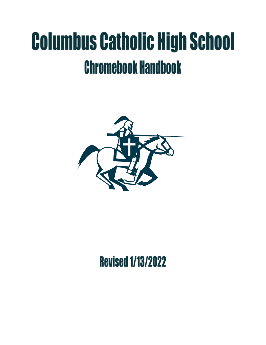# **Columbus Catholic High School Chromebook Handbook**



# **Revised 1/13/2022**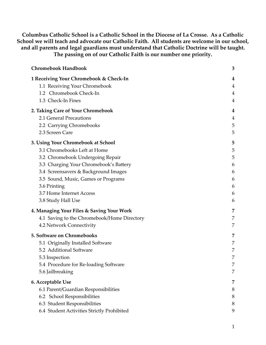**Columbus Catholic School is a Catholic School in the Diocese of La Crosse. As a Catholic School we will teach and advocate our Catholic Faith. All students are welcome in our school, and all parents and legal guardians must understand that Catholic Doctrine will be taught. The passing on of our Catholic Faith is our number one priority.**

| <b>Chromebook Handbook</b>                  | 3 |
|---------------------------------------------|---|
| 1 Receiving Your Chromebook & Check-In      | 4 |
| 1.1 Receiving Your Chromebook               | 4 |
| 1.2 Chromebook Check-In                     | 4 |
| 1.3 Check-In Fines                          | 4 |
| 2. Taking Care of Your Chromebook           | 4 |
| 2.1 General Precautions                     | 4 |
| 2.2 Carrying Chromebooks                    | 5 |
| 2.3 Screen Care                             | 5 |
| 3. Using Your Chromebook at School          | 5 |
| 3.1 Chromebooks Left at Home                | 5 |
| 3.2 Chromebook Undergoing Repair            | 5 |
| 3.3 Charging Your Chromebook's Battery      | 6 |
| 3.4 Screensavers & Background Images        | 6 |
| 3.5 Sound, Music, Games or Programs         | 6 |
| 3.6 Printing                                | 6 |
| 3.7 Home Internet Access                    | 6 |
| 3.8 Study Hall Use                          | 6 |
| 4. Managing Your Files & Saving Your Work   | 7 |
| 4.1 Saving to the Chromebook/Home Directory | 7 |
| 4.2 Network Connectivity                    | 7 |
| 5. Software on Chromebooks                  | 7 |
| 5.1 Originally Installed Software           | 7 |
| 5.2 Additional Software                     | 7 |
| 5.3 Inspection                              | 7 |
| 5.4 Procedure for Re-loading Software       | 7 |
| 5.6 Jailbreaking                            | 7 |
| 6. Acceptable Use                           | 7 |
| 6.1 Parent/Guardian Responsibilities        | 8 |
| 6.2 School Responsibilities                 | 8 |
| 6.3 Student Responsibilities                | 8 |
| 6.4 Student Activities Strictly Prohibited  | 9 |
|                                             |   |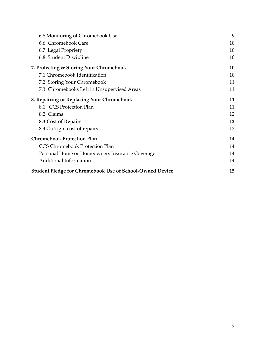| 6.5 Monitoring of Chromebook Use                                | 9  |
|-----------------------------------------------------------------|----|
| 6.6 Chromebook Care                                             | 10 |
| 6.7 Legal Propriety                                             | 10 |
| 6.8 Student Discipline                                          | 10 |
| 7. Protecting & Storing Your Chromebook                         | 10 |
| 7.1 Chromebook Identification                                   | 10 |
| 7.2 Storing Your Chromebook                                     | 11 |
| 7.3 Chromebooks Left in Unsupervised Areas                      | 11 |
| 8. Repairing or Replacing Your Chromebook                       | 11 |
| 8.1 CCS Protection Plan                                         | 11 |
| 8.2 Claims                                                      | 12 |
| 8.3 Cost of Repairs                                             | 12 |
| 8.4 Outright cost of repairs                                    | 12 |
| <b>Chromebook Protection Plan</b>                               | 14 |
| <b>CCS Chromebook Protection Plan</b>                           | 14 |
| Personal Home or Homeowners Insurance Coverage                  | 14 |
| <b>Additional Information</b>                                   | 14 |
| <b>Student Pledge for Chromebook Use of School-Owned Device</b> | 15 |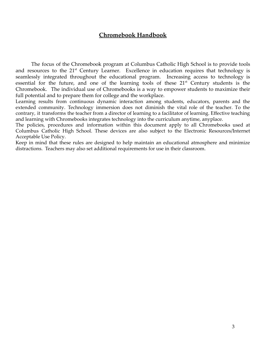# **Chromebook Handbook**

<span id="page-3-0"></span>The focus of the Chromebook program at Columbus Catholic High School is to provide tools and resources to the  $21<sup>st</sup>$  Century Learner. Excellence in education requires that technology is seamlessly integrated throughout the educational program. Increasing access to technology is essential for the future, and one of the learning tools of these  $21<sup>st</sup>$  Century students is the Chromebook. The individual use of Chromebooks is a way to empower students to maximize their full potential and to prepare them for college and the workplace.

Learning results from continuous dynamic interaction among students, educators, parents and the extended community. Technology immersion does not diminish the vital role of the teacher. To the contrary, it transforms the teacher from a director of learning to a facilitator of learning. Effective teaching and learning with Chromebooks integrates technology into the curriculum anytime, anyplace.

The policies, procedures and information within this document apply to all Chromebooks used at Columbus Catholic High School. These devices are also subject to the Electronic Resources/Internet Acceptable Use Policy.

Keep in mind that these rules are designed to help maintain an educational atmosphere and minimize distractions. Teachers may also set additional requirements for use in their classroom.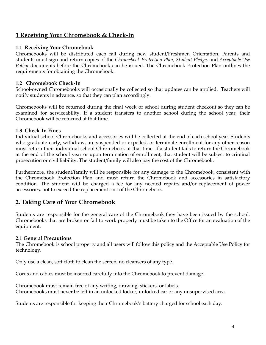# <span id="page-4-0"></span>**1 Receiving Your Chromebook & Check‐In**

# <span id="page-4-1"></span>**1.1 Receiving Your Chromebook**

Chromebooks will be distributed each fall during new student/Freshmen Orientation. Parents and students must sign and return copies of the *Chromebook Protection Plan, Student Pledge,* and *Acceptable Use Policy* documents before the Chromebook can be issued. The Chromebook Protection Plan outlines the requirements for obtaining the Chromebook.

# <span id="page-4-2"></span>**1.2 Chromebook Check‐In**

School-owned Chromebooks will occasionally be collected so that updates can be applied. Teachers will notify students in advance, so that they can plan accordingly.

Chromebooks will be returned during the final week of school during student checkout so they can be examined for serviceability. If a student transfers to another school during the school year, their Chromebook will be returned at that time.

# <span id="page-4-3"></span>**1.3 Check‐In Fines**

Individual school Chromebooks and accessories will be collected at the end of each school year. Students who graduate early, withdraw, are suspended or expelled, or terminate enrollment for any other reason must return their individual school Chromebook at that time. If a student fails to return the Chromebook at the end of the school year or upon termination of enrollment, that student will be subject to criminal prosecution or civil liability. The student/family will also pay the cost of the Chromebook.

Furthermore, the student/family will be responsible for any damage to the Chromebook, consistent with the Chromebook Protection Plan and must return the Chromebook and accessories in satisfactory condition. The student will be charged a fee for any needed repairs and/or replacement of power accessories, not to exceed the replacement cost of the Chromebook.

# <span id="page-4-4"></span>**2. Taking Care of Your Chromebook**

Students are responsible for the general care of the Chromebook they have been issued by the school. Chromebooks that are broken or fail to work properly must be taken to the Office for an evaluation of the equipment.

# <span id="page-4-5"></span>**2.1 General Precautions**

The Chromebook is school property and all users will follow this policy and the Acceptable Use Policy for technology.

Only use a clean, soft cloth to clean the screen, no cleansers of any type.

Cords and cables must be inserted carefully into the Chromebook to prevent damage.

Chromebook must remain free of any writing, drawing, stickers, or labels. Chromebooks must never be left in an unlocked locker, unlocked car or any unsupervised area.

Students are responsible for keeping their Chromebook's battery charged for school each day.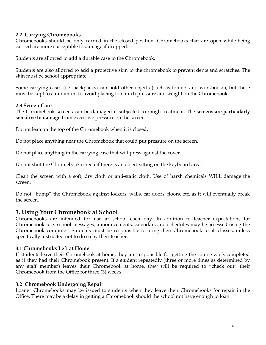# <span id="page-5-0"></span>**2.2 Carrying Chromebooks**

Chromebooks should be only carried in the closed position. Chromebooks that are open while being carried are more susceptible to damage if dropped.

Students are allowed to add a durable case to the Chromebook.

Students are also allowed to add a protective skin to the chromebook to prevent dents and scratches. The skin must be school appropriate.

Some carrying cases (i.e. backpacks) can hold other objects (such as folders and workbooks), but these must be kept to a minimum to avoid placing too much pressure and weight on the Chromebook.

# <span id="page-5-1"></span>**2.3 Screen Care**

The Chromebook screens can be damaged if subjected to rough treatment. The **screens are particularly sensitive to damage** from excessive pressure on the screen.

Do not lean on the top of the Chromebook when it is closed.

Do not place anything near the Chromebook that could put pressure on the screen.

Do not place anything in the carrying case that will press against the cover.

Do not shut the Chromebook screen if there is an object sitting on the keyboard area.

Clean the screen with a soft, dry cloth or anti‐static cloth. Use of harsh chemicals WILL damage the screen.

Do not "bump" the Chromebook against lockers, walls, car doors, floors, etc. as it will eventually break the screen.

# <span id="page-5-2"></span>**3. Using Your Chromebook at School**

Chromebooks are intended for use at school each day. In addition to teacher expectations for Chromebook use, school messages, announcements, calendars and schedules may be accessed using the Chromebook computer. Students must be responsible to bring their Chromebook to all classes, unless specifically instructed not to do so by their teacher.

# <span id="page-5-3"></span>**3.1 Chromebooks Left at Home**

If students leave their Chromebook at home, they are responsible for getting the course work completed as if they had their Chromebook present. If a student repeatedly (three or more times as determined by any staff member) leaves their Chromebook at home, they will be required to "check out" their Chromebook from the Office for three (3) weeks.

# <span id="page-5-4"></span>**3.2 Chromebook Undergoing Repair**

Loaner Chromebooks may be issued to students when they leave their Chromebooks for repair in the Office. There may be a delay in getting a Chromebook should the school not have enough to loan.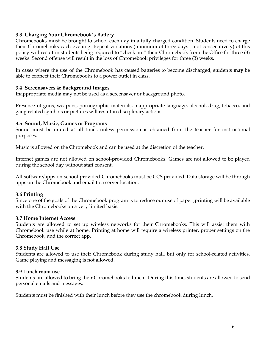# <span id="page-6-0"></span>**3.3 Charging Your Chromebook's Battery**

Chromebooks must be brought to school each day in a fully charged condition. Students need to charge their Chromebooks each evening. Repeat violations (minimum of three days – not consecutively) of this policy will result in students being required to "check out" their Chromebook from the Office for three (3) weeks. Second offense will result in the loss of Chromebook privileges for three (3) weeks.

In cases where the use of the Chromebook has caused batteries to become discharged, students **may** be able to connect their Chromebooks to a power outlet in class.

# <span id="page-6-1"></span>**3.4 Screensavers & Background Images**

Inappropriate media may not be used as a screensaver or background photo.

Presence of guns, weapons, pornographic materials, inappropriate language, alcohol, drug, tobacco, and gang related symbols or pictures will result in disciplinary actions.

# <span id="page-6-2"></span>**3.5 Sound, Music, Games or Programs**

Sound must be muted at all times unless permission is obtained from the teacher for instructional purposes.

Music is allowed on the Chromebook and can be used at the discretion of the teacher.

Internet games are not allowed on school-provided Chromebooks. Games are not allowed to be played during the school day without staff consent.

All software/apps on school provided Chromebooks must be CCS provided. Data storage will be through apps on the Chromebook and email to a server location.

# <span id="page-6-3"></span>**3.6 Printing**

Since one of the goals of the Chromebook program is to reduce our use of paper ,printing will be available with the Chromebooks on a very limited basis.

# <span id="page-6-4"></span>**3.7 Home Internet Access**

Students are allowed to set up wireless networks for their Chromebooks. This will assist them with Chromebook use while at home. Printing at home will require a wireless printer, proper settings on the Chromebook, and the correct app.

# <span id="page-6-5"></span>**3.8 Study Hall Use**

Students are allowed to use their Chromebook during study hall, but only for school-related activities. Game playing and messaging is not allowed.

#### **3.9 Lunch room use**

Students are allowed to bring their Chromebooks to lunch. During this time, students are allowed to send personal emails and messages.

Students must be finished with their lunch before they use the chromebook during lunch.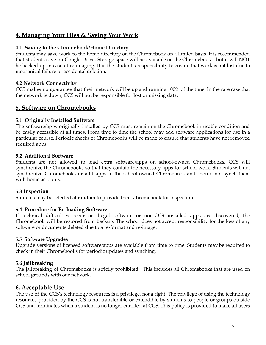# <span id="page-7-0"></span>**4. Managing Your Files & Saving Your Work**

# <span id="page-7-1"></span>**4.1 Saving to the Chromebook/Home Directory**

Students may save work to the home directory on the Chromebook on a limited basis. It is recommended that students save on Google Drive. Storage space will be available on the Chromebook – but it will NOT be backed up in case of re-imaging. It is the student's responsibility to ensure that work is not lost due to mechanical failure or accidental deletion.

# <span id="page-7-2"></span>**4.2 Network Connectivity**

CCS makes no guarantee that their network will be up and running 100% of the time. In the rare case that the network is down, CCS will not be responsible for lost or missing data.

# <span id="page-7-3"></span>**5. Software on Chromebooks**

# <span id="page-7-4"></span>**5.1 Originally Installed Software**

The software/apps originally installed by CCS must remain on the Chromebook in usable condition and be easily accessible at all times. From time to time the school may add software applications for use in a particular course. Periodic checks of Chromebooks will be made to ensure that students have not removed required apps.

# <span id="page-7-5"></span>**5.2 Additional Software**

Students are not allowed to load extra software/apps on school-owned Chromebooks. CCS will synchronize the Chromebooks so that they contain the necessary apps for school work. Students will not synchronize Chromebooks or add apps to the school-owned Chromebook and should not synch them with home accounts.

# <span id="page-7-6"></span>**5.3 Inspection**

Students may be selected at random to provide their Chromebook for inspection.

# <span id="page-7-7"></span>**5.4 Procedure for Re‐loading Software**

If technical difficulties occur or illegal software or non‐CCS installed apps are discovered, the Chromebook will be restored from backup. The school does not accept responsibility for the loss of any software or documents deleted due to a re-format and re-image.

# **5.5 Software Upgrades**

Upgrade versions of licensed software/apps are available from time to time. Students may be required to check in their Chromebooks for periodic updates and synching.

# <span id="page-7-8"></span>**5.6 Jailbreaking**

The jailbreaking of Chromebooks is strictly prohibited. This includes all Chromebooks that are used on school grounds with our network.

# <span id="page-7-9"></span>**6. Acceptable Use**

The use of the CCS's technology resources is a privilege, not a right. The privilege of using the technology resources provided by the CCS is not transferable or extendible by students to people or groups outside CCS and terminates when a student is no longer enrolled at CCS. This policy is provided to make all users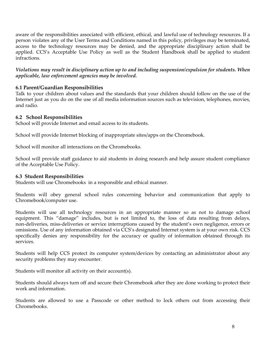aware of the responsibilities associated with efficient, ethical, and lawful use of technology resources. If a person violates any of the User Terms and Conditions named in this policy, privileges may be terminated, access to the technology resources may be denied, and the appropriate disciplinary action shall be applied. CCS's Acceptable Use Policy as well as the Student Handbook shall be applied to student infractions.

*Violations may result in disciplinary action up to and including suspension/expulsion for students. When applicable, law enforcement agencies may be involved.*

# <span id="page-8-0"></span>**6.1 Parent/Guardian Responsibilities**

Talk to your children about values and the standards that your children should follow on the use of the Internet just as you do on the use of all media information sources such as television, telephones, movies, and radio.

# <span id="page-8-1"></span>**6.2 School Responsibilities**

School will provide Internet and email access to its students.

School will provide Internet blocking of inappropriate sites/apps on the Chromebook.

School will monitor all interactions on the Chromebooks.

School will provide staff guidance to aid students in doing research and help assure student compliance of the Acceptable Use Policy.

# <span id="page-8-2"></span>**6.3 Student Responsibilities**

Students will use Chromebooks in a responsible and ethical manner.

Students will obey general school rules concerning behavior and communication that apply to Chromebook/computer use.

Students will use all technology resources in an appropriate manner so as not to damage school equipment. This "damage" includes, but is not limited to, the loss of data resulting from delays, non-deliveries, miss-deliveries or service interruptions caused by the student's own negligence, errors or omissions. Use of any information obtained via CCS's designated Internet system is at your own risk. CCS specifically denies any responsibility for the accuracy or quality of information obtained through its services.

Students will help CCS protect its computer system/devices by contacting an administrator about any security problems they may encounter.

Students will monitor all activity on their account(s).

Students should always turn off and secure their Chromebook after they are done working to protect their work and information.

Students are allowed to use a Passcode or other method to lock others out from accessing their Chromebooks.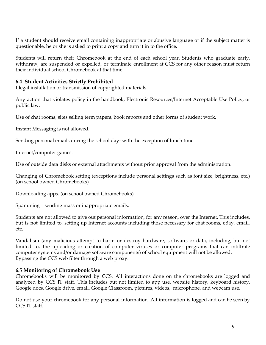If a student should receive email containing inappropriate or abusive language or if the subject matter is questionable, he or she is asked to print a copy and turn it in to the office.

Students will return their Chromebook at the end of each school year. Students who graduate early, withdraw, are suspended or expelled, or terminate enrollment at CCS for any other reason must return their individual school Chromebook at that time.

# <span id="page-9-0"></span>**6.4 Student Activities Strictly Prohibited**

Illegal installation or transmission of copyrighted materials.

Any action that violates policy in the handbook, Electronic Resources/Internet Acceptable Use Policy, or public law.

Use of chat rooms, sites selling term papers, book reports and other forms of student work.

Instant Messaging is not allowed.

Sending personal emails during the school day- with the exception of lunch time.

Internet/computer games.

Use of outside data disks or external attachments without prior approval from the administration.

Changing of Chromebook setting (exceptions include personal settings such as font size, brightness, etc.) (on school owned Chromebooks)

Downloading apps. (on school owned Chromebooks)

Spamming – sending mass or inappropriate emails.

Students are not allowed to give out personal information, for any reason, over the Internet. This includes, but is not limited to, setting up Internet accounts including those necessary for chat rooms, eBay, email, etc.

Vandalism (any malicious attempt to harm or destroy hardware, software, or data, including, but not limited to, the uploading or creation of computer viruses or computer programs that can infiltrate computer systems and/or damage software components) of school equipment will not be allowed. Bypassing the CCS web filter through a web proxy.

# <span id="page-9-1"></span>**6.5 Monitoring of Chromebook Use**

Chromebooks will be monitored by CCS. All interactions done on the chromebooks are logged and analyzed by CCS IT staff. This includes but not limited to app use, website history, keyboard history, Google docs, Google drive, email, Google Classroom, pictures, videos, microphone, and webcam use.

Do not use your chromebook for any personal information. All information is logged and can be seen by CCS IT staff.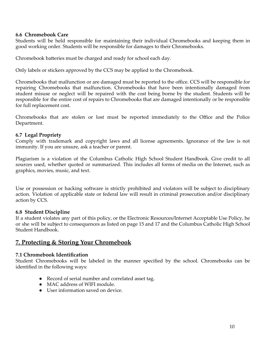# <span id="page-10-0"></span>**6.6 Chromebook Care**

Students will be held responsible for maintaining their individual Chromebooks and keeping them in good working order. Students will be responsible for damages to their Chromebooks.

Chromebook batteries must be charged and ready for school each day.

Only labels or stickers approved by the CCS may be applied to the Chromebook.

Chromebooks that malfunction or are damaged must be reported to the office. CCS will be responsible for repairing Chromebooks that malfunction. Chromebooks that have been intentionally damaged from student misuse or neglect will be repaired with the cost being borne by the student. Students will be responsible for the entire cost of repairs to Chromebooks that are damaged intentionally or be responsible for full replacement cost.

Chromebooks that are stolen or lost must be reported immediately to the Office and the Police Department.

# <span id="page-10-1"></span>**6.7 Legal Propriety**

Comply with trademark and copyright laws and all license agreements. Ignorance of the law is not immunity. If you are unsure, ask a teacher or parent.

Plagiarism is a violation of the Columbus Catholic High School Student Handbook. Give credit to all sources used, whether quoted or summarized. This includes all forms of media on the Internet, such as graphics, movies, music, and text.

Use or possession or hacking software is strictly prohibited and violators will be subject to disciplinary action. Violation of applicable state or federal law will result in criminal prosecution and/or disciplinary action by CCS.

# <span id="page-10-2"></span>**6.8 Student Discipline**

If a student violates any part of this policy, or the Electronic Resources/Internet Acceptable Use Policy, he or she will be subject to consequences as listed on page 15 and 17 and the Columbus Catholic High School Student Handbook.

# <span id="page-10-3"></span>**7. Protecting & Storing Your Chromebook**

# <span id="page-10-4"></span>**7.1 Chromebook Identification**

Student Chromebooks will be labeled in the manner specified by the school. Chromebooks can be identified in the following ways:

- Record of serial number and correlated asset tag.
- MAC address of WIFI module.
- User information saved on device.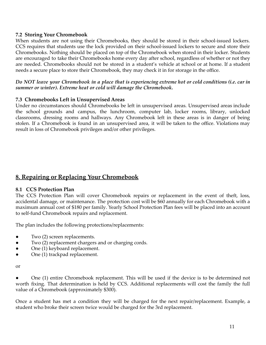# <span id="page-11-0"></span>**7.2 Storing Your Chromebook**

When students are not using their Chromebooks, they should be stored in their school-issued lockers. CCS requires that students use the lock provided on their school-issued lockers to secure and store their Chromebooks. Nothing should be placed on top of the Chromebook when stored in their locker. Students are encouraged to take their Chromebooks home every day after school, regardless of whether or not they are needed. Chromebooks should not be stored in a student's vehicle at school or at home. If a student needs a secure place to store their Chromebook, they may check it in for storage in the office.

#### Do NOT leave your Chromebook in a place that is experiencing extreme hot or cold conditions (i.e. car in *summer or winter). Extreme heat or cold will damage the Chromebook.*

# <span id="page-11-1"></span>**7.3 Chromebooks Left in Unsupervised Areas**

Under no circumstances should Chromebooks be left in unsupervised areas. Unsupervised areas include the school grounds and campus, the lunchroom, computer lab, locker rooms, library, unlocked classrooms, dressing rooms and hallways. Any Chromebook left in these areas is in danger of being stolen. If a Chromebook is found in an unsupervised area, it will be taken to the office. Violations may result in loss of Chromebook privileges and/or other privileges.

# <span id="page-11-2"></span>**8. Repairing or Replacing Your Chromebook**

# <span id="page-11-3"></span>**8.1 CCS Protection Plan**

The CCS Protection Plan will cover Chromebook repairs or replacement in the event of theft, loss, accidental damage, or maintenance. The protection cost will be \$60 annually for each Chromebook with a maximum annual cost of \$180 per family. Yearly School Protection Plan fees will be placed into an account to self‐fund Chromebook repairs and replacement.

The plan includes the following protections/replacements:

- Two (2) screen replacements.
- Two (2) replacement chargers and or charging cords.
- One (1) keyboard replacement.
- One (1) trackpad replacement.

or

One (1) entire Chromebook replacement. This will be used if the device is to be determined not worth fixing. That determination is held by CCS. Additional replacements will cost the family the full value of a Chromebook (approximately \$300).

Once a student has met a condition they will be charged for the next repair/replacement. Example, a student who broke their screen twice would be charged for the 3rd replacement.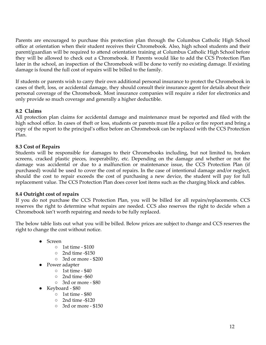Parents are encouraged to purchase this protection plan through the Columbus Catholic High School office at orientation when their student receives their Chromebook. Also, high school students and their parent/guardian will be required to attend orientation training at Columbus Catholic High School before they will be allowed to check out a Chromebook. If Parents would like to add the CCS Protection Plan later in the school, an inspection of the Chromebook will be done to verify no existing damage. If existing damage is found the full cost of repairs will be billed to the family.

If students or parents wish to carry their own additional personal insurance to protect the Chromebook in cases of theft, loss, or accidental damage, they should consult their insurance agent for details about their personal coverage of the Chromebook. Most insurance companies will require a rider for electronics and only provide so much coverage and generally a higher deductible.

# <span id="page-12-0"></span>**8.2 Claims**

All protection plan claims for accidental damage and maintenance must be reported and filed with the high school office. In cases of theft or loss, students or parents must file a police or fire report and bring a copy of the report to the principal's office before an Chromebook can be replaced with the CCS Protection Plan.

# <span id="page-12-1"></span>**8.3 Cost of Repairs**

Students will be responsible for damages to their Chromebooks including, but not limited to, broken screens, cracked plastic pieces, inoperability, etc. Depending on the damage and whether or not the damage was accidental or due to a malfunction or maintenance issue, the CCS Protection Plan (if purchased) would be used to cover the cost of repairs. In the case of intentional damage and/or neglect, should the cost to repair exceeds the cost of purchasing a new device, the student will pay for full replacement value. The CCS Protection Plan does cover lost items such as the charging block and cables.

# <span id="page-12-2"></span>**8.4 Outright cost of repairs**

If you do not purchase the CCS Protection Plan, you will be billed for all repairs/replacements. CCS reserves the right to determine what repairs are needed. CCS also reserves the right to decide when a Chromebook isn't worth repairing and needs to be fully replaced.

The below table lists out what you will be billed. Below prices are subject to change and CCS reserves the right to change the cost without notice.

- Screen
	- 1st time \$100
	- 2nd time -\$150
	- 3rd or more \$200
- Power adapter
	- 1st time \$40
	- 2nd time -\$60
	- 3rd or more \$80
- Keyboard \$80
	- 1st time \$80
	- 2nd time -\$120
	- 3rd or more \$150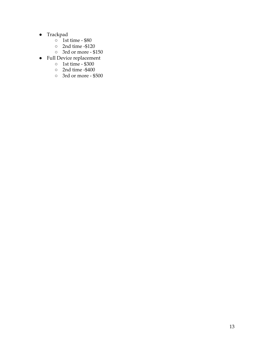- Trackpad
	- $\circ$  1st time \$80
	- $\circ$  2nd time -\$120
	- 3rd or more \$150
- Full Device replacement
	- 1st time \$300
	- $\circ$  2nd time -\$400
	- 3rd or more \$500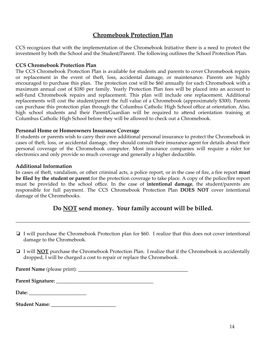# **Chromebook Protection Plan**

<span id="page-14-0"></span>CCS recognizes that with the implementation of the Chromebook Initiative there is a need to protect the investment by both the School and the Student/Parent. The following outlines the School Protection Plan.

#### <span id="page-14-1"></span>**CCS Chromebook Protection Plan**

The CCS Chromebook Protection Plan is available for students and parents to cover Chromebook repairs or replacement in the event of theft, loss, accidental damage, or maintenance. Parents are highly encouraged to purchase this plan. The protection cost will be \$60 annually for each Chromebook with a maximum annual cost of \$180 per family. Yearly Protection Plan fees will be placed into an account to self-fund Chromebook repairs and replacement. This plan will include one replacement. Additional replacements will cost the student/parent the full value of a Chromebook (approximately \$300). Parents can purchase this protection plan through the Columbus Catholic High School office at orientation. Also, high school students and their Parent/Guardian will be required to attend orientation training at Columbus Catholic High School before they will be allowed to check out a Chromebook.

# <span id="page-14-2"></span>**Personal Home or Homeowners Insurance Coverage**

If students or parents wish to carry their own additional personal insurance to protect the Chromebook in cases of theft, loss, or accidental damage, they should consult their insurance agent for details about their personal coverage of the Chromebook computer. Most insurance companies will require a rider for electronics and only provide so much coverage and generally a higher deductible.

# <span id="page-14-3"></span>**Additional Information**

In cases of theft, vandalism, or other criminal acts, a police report, or in the case of fire, a fire report **must be filed by the student or parent** for the protection coverage to take place. A copy of the police/fire report must be provided to the school office. In the case of **intentional damage**, the student/parents are responsible for full payment. The CCS Chromebook Protection Plan **DOES NOT** cover intentional damage of the Chromebooks.

# **Do NOT send money. Your family account will be billed.**

---------------------------------------------------------------------------------------------------------------------------------------------

- ❏ I will purchase the Chromebook Protection plan for \$60. I realize that this does not cover intentional damage to the Chromebook.
- ❏ I will **NOT** purchase the Chromebook Protection Plan. I realize that if the Chromebook is accidentally dropped, I will be charged a cost to repair or replace the Chromebook.

**Parent Name** (please print): \_\_\_\_\_\_\_\_\_\_\_\_\_\_\_\_\_\_\_\_\_\_\_\_\_\_\_\_\_\_\_\_\_\_\_\_\_\_\_\_\_\_\_\_

**Parent Signature:** \_\_\_\_\_\_\_\_\_\_\_\_\_\_\_\_\_\_\_\_\_\_\_\_\_\_\_\_\_\_\_\_\_\_\_\_\_\_\_

**Date:** \_\_\_\_\_\_\_\_\_\_\_\_\_\_\_\_\_\_\_\_\_\_\_

| <b>Student Name:</b> |  |
|----------------------|--|
|----------------------|--|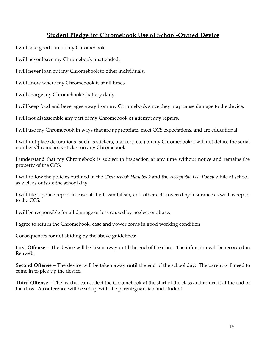# <span id="page-15-0"></span>**Student Pledge for Chromebook Use of School-Owned Device**

I will take good care of my Chromebook.

I will never leave my Chromebook unattended.

I will never loan out my Chromebook to other individuals.

I will know where my Chromebook is at all times.

I will charge my Chromebook's battery daily.

I will keep food and beverages away from my Chromebook since they may cause damage to the device.

I will not disassemble any part of my Chromebook or attempt any repairs.

I will use my Chromebook in ways that are appropriate, meet CCS expectations, and are educational.

I will not place decorations (such as stickers, markers, etc.) on my Chromebook; I will not deface the serial number Chromebook sticker on any Chromebook.

I understand that my Chromebook is subject to inspection at any time without notice and remains the property of the CCS.

I will follow the policies outlined in the *Chromebook Handbook* and the *Acceptable Use Policy* while at school, as well as outside the school day.

I will file a police report in case of theft, vandalism, and other acts covered by insurance as well as report to the CCS.

I will be responsible for all damage or loss caused by neglect or abuse.

I agree to return the Chromebook, case and power cords in good working condition.

Consequences for not abiding by the above guidelines:

**First Offense** – The device will be taken away until the end of the class. The infraction will be recorded in Renweb.

**Second Offense** – The device will be taken away until the end of the school day. The parent will need to come in to pick up the device.

**Third Offense** – The teacher can collect the Chromebook at the start of the class and return it at the end of the class. A conference will be set up with the parent/guardian and student.